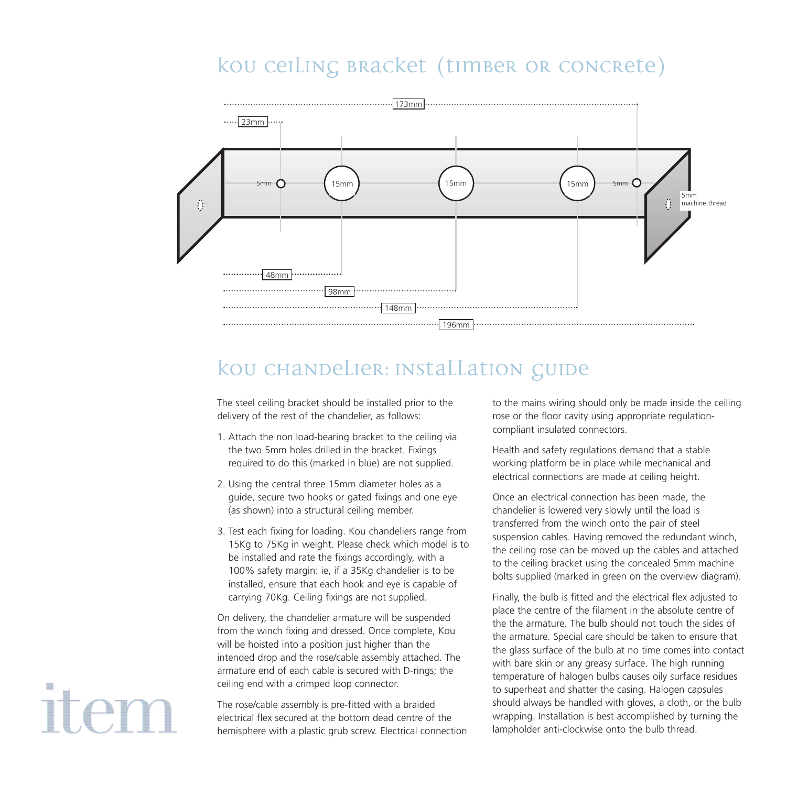## kou ceiling bracket (timber or concrete)



## kou chandelier: installation guide

The steel ceiling bracket should be installed prior to the delivery of the rest of the chandelier, as follows:

- 1. Attach the non load-bearing bracket to the ceiling via the two 5mm holes drilled in the bracket. Fixings required to do this (marked in blue) are not supplied.
- 2. Using the central three 15mm diameter holes as a guide, secure two hooks or gated fixings and one eye (as shown) into a structural ceiling member.
- 3. Test each fixing for loading. Kou chandeliers range from 15Kg to 75Kg in weight. Please check which model is to be installed and rate the fixings accordingly, with a 100% safety margin: ie, if a 35Kg chandelier is to be installed, ensure that each hook and eye is capable of carrying 70Kg. Ceiling fixings are not supplied.

On delivery, the chandelier armature will be suspended from the winch fixing and dressed. Once complete, Kou will be hoisted into a position just higher than the intended drop and the rose/cable assembly attached. The armature end of each cable is secured with D-rings; the ceiling end with a crimped loop connector.

The rose/cable assembly is pre-fitted with a braided electrical flex secured at the bottom dead centre of the hemisphere with a plastic grub screw. Electrical connection to the mains wiring should only be made inside the ceiling rose or the floor cavity using appropriate regulationcompliant insulated connectors.

Health and safety regulations demand that a stable working platform be in place while mechanical and electrical connections are made at ceiling height.

Once an electrical connection has been made, the chandelier is lowered very slowly until the load is transferred from the winch onto the pair of steel suspension cables. Having removed the redundant winch, the ceiling rose can be moved up the cables and attached to the ceiling bracket using the concealed 5mm machine bolts supplied (marked in green on the overview diagram).

Finally, the bulb is fitted and the electrical flex adjusted to place the centre of the filament in the absolute centre of the the armature. The bulb should not touch the sides of the armature. Special care should be taken to ensure that the glass surface of the bulb at no time comes into contact with bare skin or any greasy surface. The high running temperature of halogen bulbs causes oily surface residues to superheat and shatter the casing. Halogen capsules should always be handled with gloves, a cloth, or the bulb wrapping. Installation is best accomplished by turning the lampholder anti-clockwise onto the bulb thread.